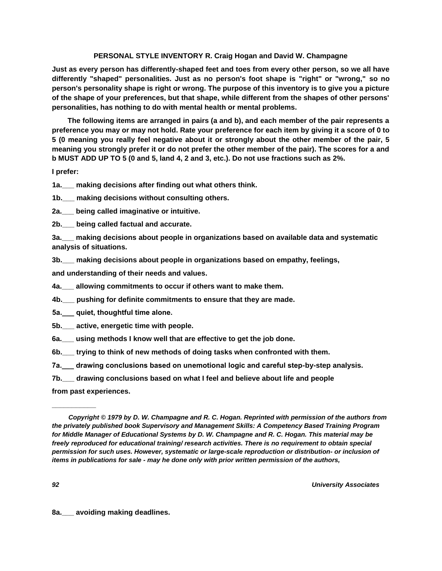# **PERSONAL STYLE INVENTORY R. Craig Hogan and David W. Champagne**

**Just as every person has differently-shaped feet and toes from every other person, so we all have differently "shaped" personalities. Just as no person's foot shape is "right" or "wrong," so no person's personality shape is right or wrong. The purpose of this inventory is to give you a picture of the shape of your preferences, but that shape, while different from the shapes of other persons' personalities, has nothing to do with mental health or mental problems.**

**The following items are arranged in pairs (a and b), and each member of the pair represents a preference you may or may not hold. Rate your preference for each item by giving it a score of 0 to 5 (0 meaning you really feel negative about it or strongly about the other member of the pair, 5 meaning you strongly prefer it or do not prefer the other member of the pair). The scores for a and b MUST ADD UP TO 5 (0 and 5, land 4, 2 and 3, etc.). Do not use fractions such as 2%.**

# **I prefer:**

**1a.\_\_\_ making decisions after finding out what others think.** 

**1b.\_\_\_ making decisions without consulting others.**

**2a.\_\_\_ being called imaginative or intuitive.**

**2b.\_\_\_ being called factual and accurate.**

**3a.\_\_\_ making decisions about people in organizations based on available data and systematic analysis of situations.**

**3b.\_\_\_ making decisions about people in organizations based on empathy, feelings,**

**and understanding of their needs and values.**

**4a.\_\_\_ allowing commitments to occur if others want to make them.**

**4b.\_\_\_ pushing for definite commitments to ensure that they are made.** 

**5а.\_\_\_ quiet, thoughtful time alone.**

**5b.\_\_\_ active, energetic time with people.**

**6a.\_\_\_ using methods I know well that are effective to get the job done.**

**6b.\_\_\_ trying to think of new methods of doing tasks when confronted with them.**

**7а.\_\_\_ drawing conclusions based on unemotional logic and careful step-by-step analysis.**

**7b.\_\_\_ drawing conclusions based on what I feel and believe about life and people**

**from past experiences.**

**\_\_\_\_\_\_\_\_\_\_\_**

*Copyright © 1979 by D. W. Champagne and R. C. Hogan. Reprinted with permission of the authors from the privately published book Supervisory and Management Skills: A Competency Based Training Program for Middle Manager of Educational Systems by D. W. Champagne and R. C. Hogan. This material may be freely reproduced for educational training/ research activities. There is no requirement to obtain special permission for such uses. However, systematic or large-scale reproduction or distribution- or inclusion of items in publications for sale - may he done only with prior written permission of the authors,*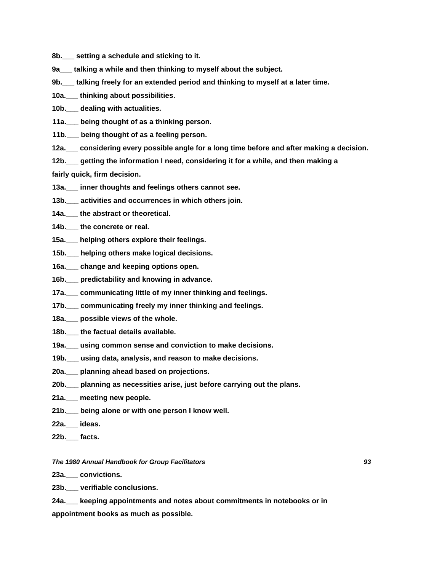- **8b.\_\_\_ setting a schedule and sticking to it.**
- **9a\_\_\_ talking a while and then thinking to myself about the subject.**
- **9b.\_\_\_ talking freely for an extended period and thinking to myself at a later time.**
- **10a.\_\_\_ thinking about possibilities.**
- **10b.\_\_\_ dealing with actualities.**
- **11a.\_\_\_ being thought of as a thinking person.**
- **11b.\_\_\_ being thought of as a feeling person.**
- **12a.\_\_\_ considering every possible angle for a long time before and after making a decision.**
- **12b.\_\_\_ getting the information I need, considering it for a while, and then making a**

**fairly quick, firm decision.**

- **13a.\_\_\_ inner thoughts and feelings others cannot see.**
- **13b.\_\_\_ activities and occurrences in which others join.**
- **14a.\_\_\_ the abstract or theoretical.**
- **14b.\_\_\_ the concrete or real.**
- **15a.\_\_\_ helping others explore their feelings.**
- **15b.\_\_\_ helping others make logical decisions.**
- **16a.\_\_\_ change and keeping options open.**
- **16b.\_\_\_ predictability and knowing in advance.**
- **17a.\_\_\_ communicating little of my inner thinking and feelings.**
- **17b.\_\_\_ communicating freely my inner thinking and feelings.**
- **18a.\_\_\_ possible views of the whole.**
- **18b.\_\_\_ the factual details available.**
- **19a.\_\_\_ using common sense and conviction to make decisions.**
- **19b.\_\_\_ using data, analysis, and reason to make decisions.**
- **20a.\_\_\_ planning ahead based on projections.**
- **20b.\_\_\_ planning as necessities arise, just before carrying out the plans.**
- **21a.\_\_\_ meeting new people.**
- **21b.\_\_\_ being alone or with one person I know well.**
- **22a.\_\_\_ ideas.**
- **22b.\_\_\_ facts.**

*The 1980 Annual Handbook for Group Facilitators 93*

**23a.\_\_\_ convictions.**

**23b.\_\_\_ verifiable conclusions.**

**24a.\_\_\_ keeping appointments and notes about commitments in notebooks or in appointment books as much as possible.**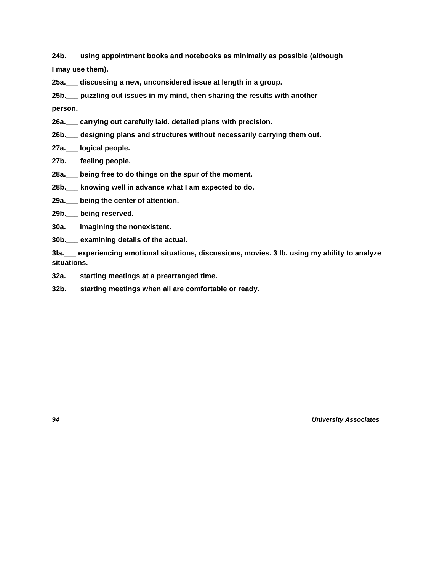**24b.\_\_\_ using appointment books and notebooks as minimally as possible (although**

**I may use them).**

**25a.\_\_\_ discussing a new, unconsidered issue at length in a group.**

**25b.\_\_\_ puzzling out issues in my mind, then sharing the results with another**

**person.**

- **26a.\_\_\_ carrying out carefully laid. detailed plans with precision.**
- **26b.\_\_\_ designing plans and structures without necessarily carrying them out.**
- **27a.\_\_\_ logical people.**
- **27b.\_\_\_ feeling people.**
- **28a.\_\_\_ being free to do things on the spur of the moment.**
- **28b.\_\_\_ knowing well in advance what I am expected to do.**
- **29a.\_\_\_ being the center of attention.**
- **29b.\_\_\_ being reserved.**
- **30a.\_\_\_ imagining the nonexistent.**
- **30b.\_\_\_ examining details of the actual.**

**3la.\_\_\_ experiencing emotional situations, discussions, movies. 3 lb. using my ability to analyze situations.**

**32a.\_\_\_ starting meetings at a prearranged time.**

**32b.\_\_\_ starting meetings when all are comfortable or ready.**

*94 University Associates*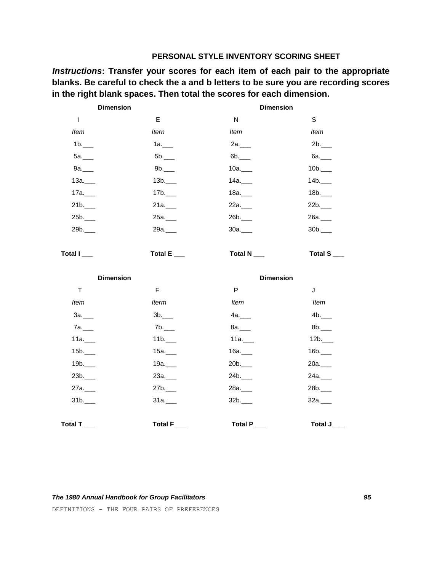# **PERSONAL STYLE INVENTORY SCORING SHEET**

*Instructions***: Transfer your scores for each item of each pair to the appropriate blanks. Be careful to check the a and b letters to be sure you are recording scores in the right blank spaces. Then total the scores for each dimension.**

| <b>Dimension</b>  |                      | <b>Dimension</b>       |              |
|-------------------|----------------------|------------------------|--------------|
| I                 | E                    | $\mathsf{N}$           | $\mathbb S$  |
| Item              | <b>Itern</b>         | <b>Item</b>            | <b>Item</b>  |
| 1b.               | 1a.                  | 2a.                    | $2b$ .       |
| $5a$ .            | 5b.                  | $6b$ .                 | $6a$ .       |
| $9a$ .            | 9b.                  | 10a.                   | 10b.         |
| $13a$ .           | 13b.                 | 14a.                   | 14b.         |
| $17a$ .           | 17b.                 | $18a$ .                | 18b.         |
| $21b$ .           | 21a.                 | 22a.                   | 22b.         |
| 25b.              | 25a.                 | $26b$ .                | 26a.         |
| 29b.              | 29a. <sub>____</sub> | $30a$ .                | 30b.         |
|                   |                      |                        |              |
| Total I__         | Total E__            | Total N <sub>___</sub> | Total $S$ __ |
|                   |                      |                        |              |
|                   |                      |                        |              |
| <b>Dimension</b>  |                      | <b>Dimension</b>       |              |
| $\mathsf T$       | F                    | P                      | J            |
| <b>Item</b>       | <b>Iterm</b>         | <b>Item</b>            | Item         |
| $3a$ .            | 3b.                  | 4a.                    | 4b.          |
| 7a. <sub>11</sub> | 7b.                  | $8a$ .                 | $8b$ .       |
| 11a.              | 11b.                 | 11a.                   | 12b.         |
| 15b.              | 15a.                 | $16a$ .                | 16b.         |
| 19b.              | 19a.                 | 20b.                   | 20a.         |
| 23b.              | 23a.                 | $24b$ .                | 24a.         |
| 27a.              | 27b.                 | 28a.                   | 28b.         |
| 31b.              | 31a.                 | 32b.                   | 32a.         |
|                   |                      |                        |              |

DEFINITIONS - THE FOUR PAIRS OF PREFERENCES